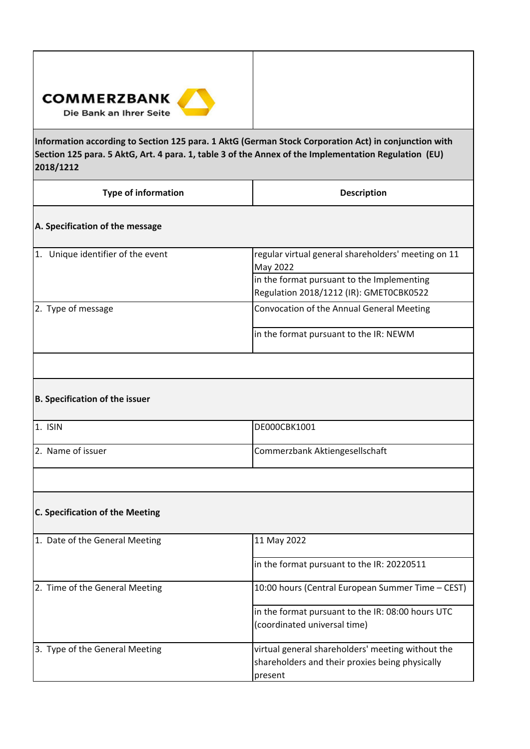

**Information according to Section 125 para. 1 AktG (German Stock Corporation Act) in conjunction with**  Section 125 para. 5 AktG, Art. 4 para. 1, table 3 of the Annex of the Implementation Regulation (EU) **2018/1212**

| <b>Type of information</b>             | <b>Description</b>                                                                                              |  |
|----------------------------------------|-----------------------------------------------------------------------------------------------------------------|--|
| A. Specification of the message        |                                                                                                                 |  |
| 1. Unique identifier of the event      | regular virtual general shareholders' meeting on 11<br>May 2022                                                 |  |
|                                        | in the format pursuant to the Implementing<br>Regulation 2018/1212 (IR): GMETOCBK0522                           |  |
| 2. Type of message                     | Convocation of the Annual General Meeting                                                                       |  |
|                                        | in the format pursuant to the IR: NEWM                                                                          |  |
|                                        |                                                                                                                 |  |
| B. Specification of the issuer         |                                                                                                                 |  |
| 1. ISIN                                | DE000CBK1001                                                                                                    |  |
| 2. Name of issuer                      | Commerzbank Aktiengesellschaft                                                                                  |  |
|                                        |                                                                                                                 |  |
| <b>C. Specification of the Meeting</b> |                                                                                                                 |  |
| 1. Date of the General Meeting         | 11 May 2022                                                                                                     |  |
|                                        | in the format pursuant to the IR: 20220511                                                                      |  |
| 2. Time of the General Meeting         | 10:00 hours (Central European Summer Time - CEST)                                                               |  |
|                                        | in the format pursuant to the IR: 08:00 hours UTC<br>(coordinated universal time)                               |  |
| 3. Type of the General Meeting         | virtual general shareholders' meeting without the<br>shareholders and their proxies being physically<br>present |  |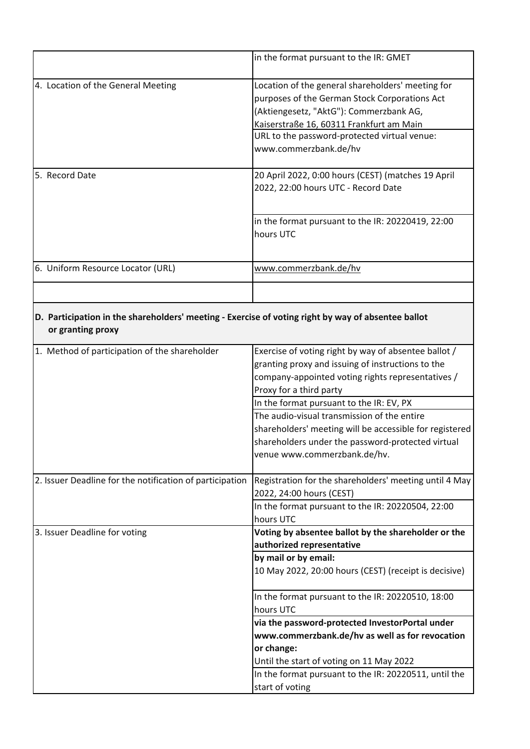|                                                 | in the format pursuant to the IR: GMET                                                                                                                                                                                                                             |
|-------------------------------------------------|--------------------------------------------------------------------------------------------------------------------------------------------------------------------------------------------------------------------------------------------------------------------|
| 4. Location of the General Meeting              | Location of the general shareholders' meeting for<br>purposes of the German Stock Corporations Act<br>(Aktiengesetz, "AktG"): Commerzbank AG,<br>Kaiserstraße 16, 60311 Frankfurt am Main<br>URL to the password-protected virtual venue:<br>www.commerzbank.de/hv |
| 5. Record Date                                  | 20 April 2022, 0:00 hours (CEST) (matches 19 April<br>2022, 22:00 hours UTC - Record Date                                                                                                                                                                          |
|                                                 | in the format pursuant to the IR: 20220419, 22:00<br>hours UTC                                                                                                                                                                                                     |
| 6. Uniform Resource Locator (URL)               | www.commerzbank.de/hv                                                                                                                                                                                                                                              |
| or granting proxy                               | D. Participation in the shareholders' meeting - Exercise of voting right by way of absentee ballot                                                                                                                                                                 |
| Method of participation of the shareholder<br>1 | Exercise of voting right by way of absentee hallot /                                                                                                                                                                                                               |

| 1. Method of participation of the shareholder            | Exercise of voting right by way of absentee ballot /    |
|----------------------------------------------------------|---------------------------------------------------------|
|                                                          | granting proxy and issuing of instructions to the       |
|                                                          | company-appointed voting rights representatives /       |
|                                                          | Proxy for a third party                                 |
|                                                          | In the format pursuant to the IR: EV, PX                |
|                                                          | The audio-visual transmission of the entire             |
|                                                          | shareholders' meeting will be accessible for registered |
|                                                          | shareholders under the password-protected virtual       |
|                                                          | venue www.commerzbank.de/hv.                            |
|                                                          |                                                         |
| 2. Issuer Deadline for the notification of participation | Registration for the shareholders' meeting until 4 May  |
|                                                          | 2022, 24:00 hours (CEST)                                |
|                                                          | In the format pursuant to the IR: 20220504, 22:00       |
|                                                          | hours UTC                                               |
| 3. Issuer Deadline for voting                            | Voting by absentee ballot by the shareholder or the     |
|                                                          | authorized representative                               |
|                                                          | by mail or by email:                                    |
|                                                          | 10 May 2022, 20:00 hours (CEST) (receipt is decisive)   |
|                                                          |                                                         |
|                                                          | In the format pursuant to the IR: 20220510, 18:00       |
|                                                          | hours UTC                                               |
|                                                          | via the password-protected InvestorPortal under         |
|                                                          | www.commerzbank.de/hv as well as for revocation         |
|                                                          | or change:                                              |
|                                                          | Until the start of voting on 11 May 2022                |
|                                                          | In the format pursuant to the IR: 20220511, until the   |
|                                                          | start of voting                                         |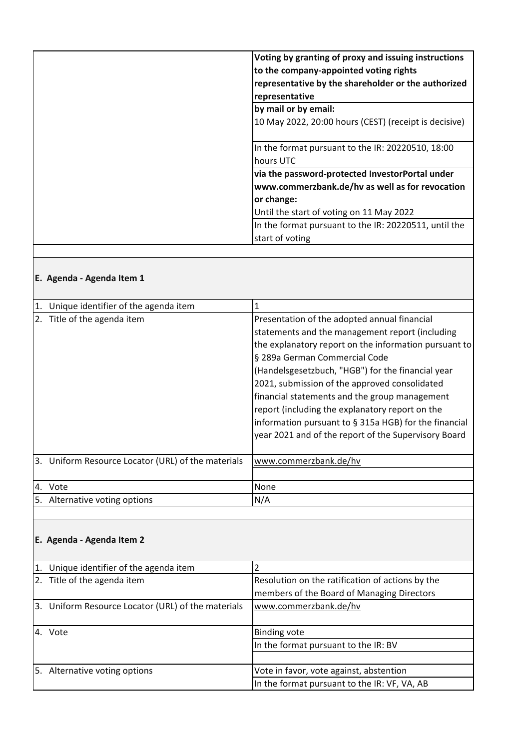| Voting by granting of proxy and issuing instructions<br>to the company-appointed voting rights<br>representative by the shareholder or the authorized<br>representative |
|-------------------------------------------------------------------------------------------------------------------------------------------------------------------------|
| by mail or by email:                                                                                                                                                    |
| 10 May 2022, 20:00 hours (CEST) (receipt is decisive)                                                                                                                   |
| In the format pursuant to the IR: 20220510, 18:00                                                                                                                       |
| hours UTC                                                                                                                                                               |
| via the password-protected InvestorPortal under                                                                                                                         |
| www.commerzbank.de/hv as well as for revocation                                                                                                                         |
| or change:                                                                                                                                                              |
| Until the start of voting on 11 May 2022                                                                                                                                |
| In the format pursuant to the IR: 20220511, until the                                                                                                                   |
| start of voting                                                                                                                                                         |

# **E. Agenda ‐ Agenda Item 1**

| Unique identifier of the agenda item               |                                                                                                                                                                                                                                                                                                                                                                                                                                                                                                                      |
|----------------------------------------------------|----------------------------------------------------------------------------------------------------------------------------------------------------------------------------------------------------------------------------------------------------------------------------------------------------------------------------------------------------------------------------------------------------------------------------------------------------------------------------------------------------------------------|
| 2. Title of the agenda item                        | Presentation of the adopted annual financial<br>statements and the management report (including<br>the explanatory report on the information pursuant to<br>§ 289a German Commercial Code<br>(Handelsgesetzbuch, "HGB") for the financial year<br>2021, submission of the approved consolidated<br>financial statements and the group management<br>report (including the explanatory report on the<br>information pursuant to § 315a HGB) for the financial<br>year 2021 and of the report of the Supervisory Board |
|                                                    |                                                                                                                                                                                                                                                                                                                                                                                                                                                                                                                      |
| 3. Uniform Resource Locator (URL) of the materials | www.commerzbank.de/hv                                                                                                                                                                                                                                                                                                                                                                                                                                                                                                |
|                                                    |                                                                                                                                                                                                                                                                                                                                                                                                                                                                                                                      |
| 4. Vote                                            | None                                                                                                                                                                                                                                                                                                                                                                                                                                                                                                                 |
| 5. Alternative voting options                      | N/A                                                                                                                                                                                                                                                                                                                                                                                                                                                                                                                  |

## **E. Agenda ‐ Agenda Item 2**

| 1. Unique identifier of the agenda item            |                                                  |
|----------------------------------------------------|--------------------------------------------------|
| 2. Title of the agenda item                        | Resolution on the ratification of actions by the |
|                                                    | members of the Board of Managing Directors       |
| 3. Uniform Resource Locator (URL) of the materials | www.commerzbank.de/hv                            |
|                                                    |                                                  |
| 4. Vote                                            | <b>Binding vote</b>                              |
|                                                    | In the format pursuant to the IR: BV             |
|                                                    |                                                  |
| 5. Alternative voting options                      | Vote in favor, vote against, abstention          |
|                                                    | In the format pursuant to the IR: VF, VA, AB     |
|                                                    |                                                  |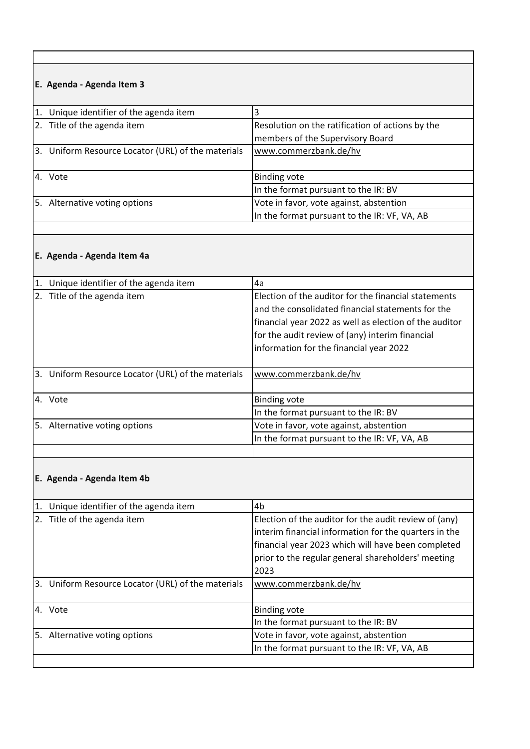# **E. Agenda ‐ Agenda Item 3**

| 1. Unique identifier of the agenda item            |                                                  |
|----------------------------------------------------|--------------------------------------------------|
| 2. Title of the agenda item                        | Resolution on the ratification of actions by the |
|                                                    | members of the Supervisory Board                 |
| 3. Uniform Resource Locator (URL) of the materials | www.commerzbank.de/hv                            |
|                                                    |                                                  |
| 4. Vote                                            | <b>Binding vote</b>                              |
|                                                    | In the format pursuant to the IR: BV             |
| 5. Alternative voting options                      | Vote in favor, vote against, abstention          |
|                                                    | In the format pursuant to the IR: VF, VA, AB     |
|                                                    |                                                  |

## **E. Agenda ‐ Agenda Item 4a**

| $\mathbf{1}$ . | Unique identifier of the agenda item            | 4a                                                     |
|----------------|-------------------------------------------------|--------------------------------------------------------|
|                | 2. Title of the agenda item                     | Election of the auditor for the financial statements   |
|                |                                                 | and the consolidated financial statements for the      |
|                |                                                 | financial year 2022 as well as election of the auditor |
|                |                                                 | for the audit review of (any) interim financial        |
|                |                                                 | information for the financial year 2022                |
|                |                                                 |                                                        |
| 3.             | Uniform Resource Locator (URL) of the materials | www.commerzbank.de/hv                                  |
|                |                                                 |                                                        |
|                | 4. Vote                                         | <b>Binding vote</b>                                    |
|                |                                                 | In the format pursuant to the IR: BV                   |
|                | 5. Alternative voting options                   | Vote in favor, vote against, abstention                |
|                |                                                 | In the format pursuant to the IR: VF, VA, AB           |
|                |                                                 |                                                        |

# **E. Agenda ‐ Agenda Item 4b**

| 1. | Unique identifier of the agenda item               | 4b                                                    |
|----|----------------------------------------------------|-------------------------------------------------------|
|    | 2. Title of the agenda item                        | Election of the auditor for the audit review of (any) |
|    |                                                    | interim financial information for the quarters in the |
|    |                                                    | financial year 2023 which will have been completed    |
|    |                                                    | prior to the regular general shareholders' meeting    |
|    |                                                    | 2023                                                  |
|    | 3. Uniform Resource Locator (URL) of the materials | www.commerzbank.de/hv                                 |
|    |                                                    |                                                       |
|    | 4. Vote                                            | <b>Binding vote</b>                                   |
|    |                                                    | In the format pursuant to the IR: BV                  |
|    | 5. Alternative voting options                      | Vote in favor, vote against, abstention               |
|    |                                                    | In the format pursuant to the IR: VF, VA, AB          |
|    |                                                    |                                                       |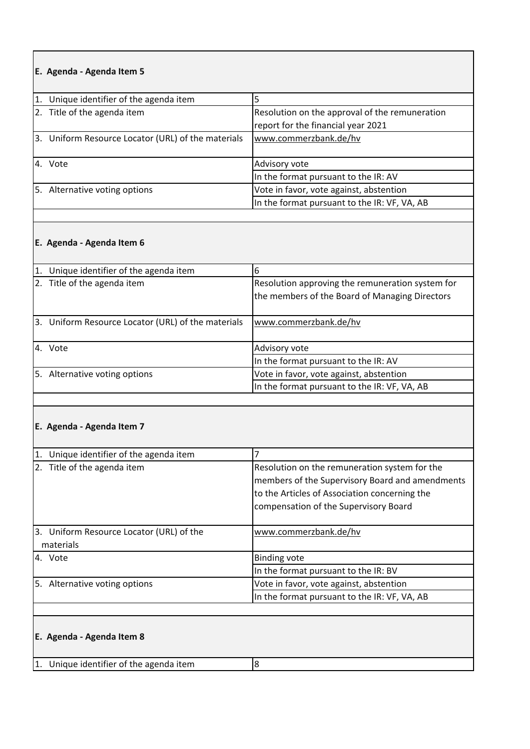## **E. Agenda ‐ Agenda Item 5**

| 1. Unique identifier of the agenda item            |                                                |
|----------------------------------------------------|------------------------------------------------|
| 2. Title of the agenda item                        | Resolution on the approval of the remuneration |
|                                                    | report for the financial year 2021             |
| 3. Uniform Resource Locator (URL) of the materials | www.commerzbank.de/hv                          |
|                                                    |                                                |
| 4. Vote                                            | Advisory vote                                  |
|                                                    | In the format pursuant to the IR: AV           |
| 5. Alternative voting options                      | Vote in favor, vote against, abstention        |
|                                                    | In the format pursuant to the IR: VF, VA, AB   |
|                                                    |                                                |

### **E. Agenda ‐ Agenda Item 6**

| 1. | Unique identifier of the agenda item               | h                                                                                                  |
|----|----------------------------------------------------|----------------------------------------------------------------------------------------------------|
|    | 2. Title of the agenda item                        | Resolution approving the remuneration system for<br>the members of the Board of Managing Directors |
|    | 3. Uniform Resource Locator (URL) of the materials | www.commerzbank.de/hv                                                                              |
|    | 4. Vote                                            | Advisory vote                                                                                      |
|    |                                                    | In the format pursuant to the IR: AV                                                               |
|    | 5. Alternative voting options                      | Vote in favor, vote against, abstention                                                            |
|    |                                                    | In the format pursuant to the IR: VF, VA, AB                                                       |

### **E. Agenda ‐ Agenda Item 7**

| Unique identifier of the agenda item<br>$\mathbf{1}$ . |                                                                                                                                                                                            |  |
|--------------------------------------------------------|--------------------------------------------------------------------------------------------------------------------------------------------------------------------------------------------|--|
| 2. Title of the agenda item                            | Resolution on the remuneration system for the<br>members of the Supervisory Board and amendments<br>to the Articles of Association concerning the<br>compensation of the Supervisory Board |  |
| 3. Uniform Resource Locator (URL) of the<br>materials  | www.commerzbank.de/hv                                                                                                                                                                      |  |
| 4. Vote                                                | <b>Binding vote</b>                                                                                                                                                                        |  |
|                                                        | In the format pursuant to the IR: BV                                                                                                                                                       |  |
| 5. Alternative voting options                          | Vote in favor, vote against, abstention                                                                                                                                                    |  |
|                                                        | In the format pursuant to the IR: VF, VA, AB                                                                                                                                               |  |
|                                                        |                                                                                                                                                                                            |  |

### **E. Agenda ‐ Agenda Item 8**

1. Unique identifier of the agenda item 8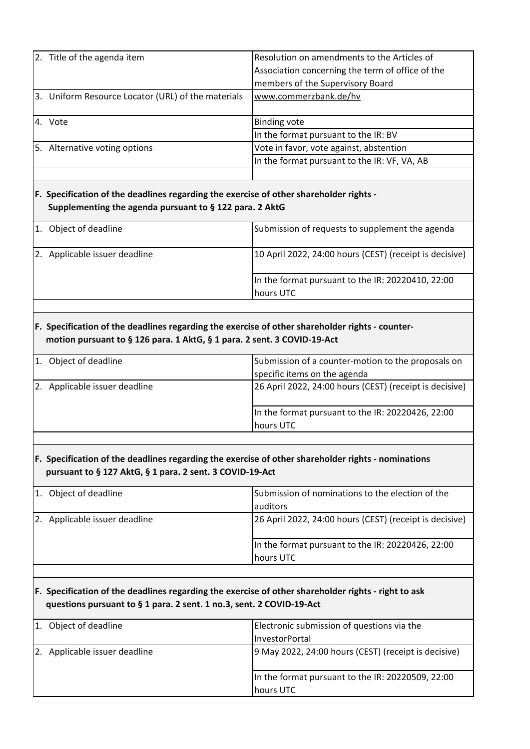| 2. Title of the agenda item                                                                                                                       | Resolution on amendments to the Articles of                                                         |
|---------------------------------------------------------------------------------------------------------------------------------------------------|-----------------------------------------------------------------------------------------------------|
|                                                                                                                                                   | Association concerning the term of office of the                                                    |
|                                                                                                                                                   | members of the Supervisory Board                                                                    |
| 3. Uniform Resource Locator (URL) of the materials                                                                                                | www.commerzbank.de/hv                                                                               |
| 4. Vote                                                                                                                                           | <b>Binding vote</b>                                                                                 |
|                                                                                                                                                   | In the format pursuant to the IR: BV                                                                |
| 5. Alternative voting options                                                                                                                     | Vote in favor, vote against, abstention                                                             |
|                                                                                                                                                   | In the format pursuant to the IR: VF, VA, AB                                                        |
|                                                                                                                                                   |                                                                                                     |
| F. Specification of the deadlines regarding the exercise of other shareholder rights -<br>Supplementing the agenda pursuant to § 122 para. 2 AktG |                                                                                                     |
| 1. Object of deadline                                                                                                                             | Submission of requests to supplement the agenda                                                     |
| 2. Applicable issuer deadline                                                                                                                     | 10 April 2022, 24:00 hours (CEST) (receipt is decisive)                                             |
|                                                                                                                                                   | In the format pursuant to the IR: 20220410, 22:00<br>hours UTC                                      |
|                                                                                                                                                   |                                                                                                     |
| motion pursuant to § 126 para. 1 AktG, § 1 para. 2 sent. 3 COVID-19-Act<br>1. Object of deadline                                                  | Submission of a counter-motion to the proposals on<br>specific items on the agenda                  |
|                                                                                                                                                   |                                                                                                     |
| 2. Applicable issuer deadline                                                                                                                     | 26 April 2022, 24:00 hours (CEST) (receipt is decisive)                                             |
|                                                                                                                                                   | In the format pursuant to the IR: 20220426, 22:00<br>hours UTC                                      |
| pursuant to § 127 AktG, § 1 para. 2 sent. 3 COVID-19-Act                                                                                          | F. Specification of the deadlines regarding the exercise of other shareholder rights - nominations  |
| 1. Object of deadline                                                                                                                             | Submission of nominations to the election of the<br>auditors                                        |
| 2. Applicable issuer deadline                                                                                                                     | 26 April 2022, 24:00 hours (CEST) (receipt is decisive)                                             |
|                                                                                                                                                   | In the format pursuant to the IR: 20220426, 22:00<br>hours UTC                                      |
| questions pursuant to § 1 para. 2 sent. 1 no.3, sent. 2 COVID-19-Act                                                                              | F. Specification of the deadlines regarding the exercise of other shareholder rights - right to ask |
| 1. Object of deadline                                                                                                                             | Electronic submission of questions via the                                                          |
| 2. Applicable issuer deadline                                                                                                                     | InvestorPortal<br>9 May 2022, 24:00 hours (CEST) (receipt is decisive)                              |